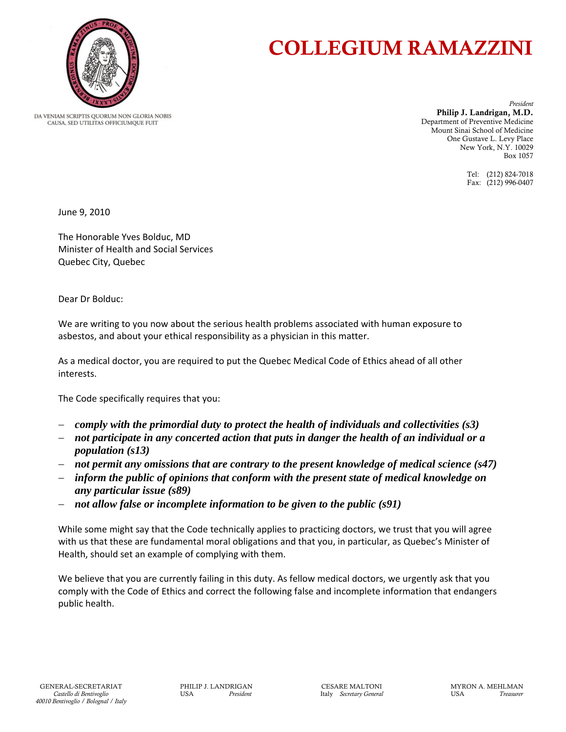

## COLLEGIUM RAMAZZINI

DA VENIAM SCRIPTIS OUORUM NON GLORIA NOBIS CAUSA, SED UTILITAS OFFICIUMQUE FUIT

*President*  Philip J. Landrigan, M.D. Department of Preventive Medicine Mount Sinai School of Medicine One Gustave L. Levy Place New York, N.Y. 10029 Box 1057

> Tel: (212) 824-7018 Fax: (212) 996-0407

June 9, 2010

The Honorable Yves Bolduc, MD Minister of Health and Social Services Quebec City, Quebec

Dear Dr Bolduc:

We are writing to you now about the serious health problems associated with human exposure to asbestos, and about your ethical responsibility as a physician in this matter.

As a medical doctor, you are required to put the Quebec Medical Code of Ethics ahead of all other interests.

The Code specifically requires that you:

- *comply with the primordial duty to protect the health of individuals and collectivities (s3)*
- *not participate in any concerted action that puts in danger the health of an individual or a population (s13)*
- *not permit any omissions that are contrary to the present knowledge of medical science (s47)*
- *inform the public of opinions that conform with the present state of medical knowledge on any particular issue (s89)*
- *not allow false or incomplete information to be given to the public (s91)*

While some might say that the Code technically applies to practicing doctors, we trust that you will agree with us that these are fundamental moral obligations and that you, in particular, as Quebec's Minister of Health, should set an example of complying with them.

We believe that you are currently failing in this duty. As fellow medical doctors, we urgently ask that you comply with the Code of Ethics and correct the following false and incomplete information that endangers public health.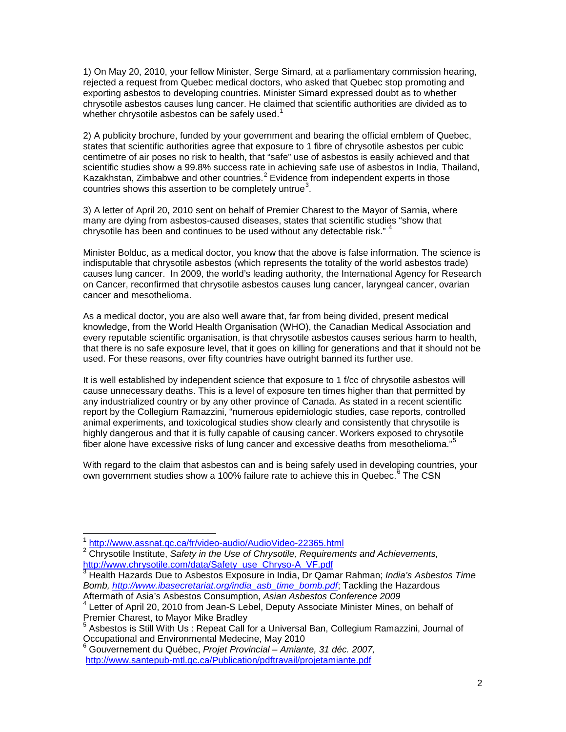1) On May 20, 2010, your fellow Minister, Serge Simard, at a parliamentary commission hearing, rejected a request from Quebec medical doctors, who asked that Quebec stop promoting and exporting asbestos to developing countries. Minister Simard expressed doubt as to whether chrysotile asbestos causes lung cancer. He claimed that scientific authorities are divided as to whether chrysotile asbestos can be safely used. $1$ 

2) A publicity brochure, funded by your government and bearing the official emblem of Quebec, states that scientific authorities agree that exposure to 1 fibre of chrysotile asbestos per cubic centimetre of air poses no risk to health, that "safe" use of asbestos is easily achieved and that scientific studies show a 99.8% success rate in achieving safe use of asbestos in India, Thailand, Kazakhstan, Zimbabwe and other countries. $2$  Evidence from independent experts in those countries shows this assertion to be completely untrue<sup>[3](#page-1-2)</sup>.

3) A letter of April 20, 2010 sent on behalf of Premier Charest to the Mayor of Sarnia, where many are dying from asbestos-caused diseases, states that scientific studies "show that chrysotile has been and continues to be used without any detectable risk." <sup>[4](#page-1-3)</sup>

Minister Bolduc, as a medical doctor, you know that the above is false information. The science is indisputable that chrysotile asbestos (which represents the totality of the world asbestos trade) causes lung cancer. In 2009, the world's leading authority, the International Agency for Research on Cancer, reconfirmed that chrysotile asbestos causes lung cancer, laryngeal cancer, ovarian cancer and mesothelioma.

As a medical doctor, you are also well aware that, far from being divided, present medical knowledge, from the World Health Organisation (WHO), the Canadian Medical Association and every reputable scientific organisation, is that chrysotile asbestos causes serious harm to health, that there is no safe exposure level, that it goes on killing for generations and that it should not be used. For these reasons, over fifty countries have outright banned its further use.

It is well established by independent science that exposure to 1 f/cc of chrysotile asbestos will cause unnecessary deaths. This is a level of exposure ten times higher than that permitted by any industrialized country or by any other province of Canada. As stated in a recent scientific report by the Collegium Ramazzini, "numerous epidemiologic studies, case reports, controlled animal experiments, and toxicological studies show clearly and consistently that chrysotile is highly dangerous and that it is fully capable of causing cancer. Workers exposed to chrysotile fiber alone have excessive risks of lung cancer and excessive deaths from mesothelioma."<sup>[5](#page-1-4)</sup>

With regard to the claim that asbestos can and is being safely used in developing countries, your own government studies show a 100% failure rate to achieve this in Quebec.<sup>[6](#page-1-5)</sup> The CSN

<span id="page-1-2"></span> $\frac{3}{3}$  Health Hazards Due to Asbestos Exposure in India, Dr Qamar Rahman; *India's Asbestos Time Bomb, [http://www.ibasecretariat.org/india\\_asb\\_time\\_bomb.pdf](http://www.ibasecretariat.org/india_asb_time_bomb.pdf)*; Tackling the Hazardous Aftermath of Asia's Asbestos Consumption, *Asian Asbestos Conference 2009*

<sup>|&</sup>lt;br>1 <http://www.assnat.qc.ca/fr/video-audio/AudioVideo-22365.html>

<span id="page-1-1"></span><span id="page-1-0"></span><sup>&</sup>lt;sup>2</sup> Chrysotile Institute, *Safety in the Use of Chrysotile, Requirements and Achievements,*<br>http://www.chrysotile.com/data/Safety\_use\_Chryso-A\_VF.pdf

<span id="page-1-3"></span><sup>&</sup>lt;sup>4</sup> Letter of April 20, 2010 from Jean-S Lebel, Deputy Associate Minister Mines, on behalf of Premier Charest, to Mayor Mike Bradley

<span id="page-1-4"></span><sup>5</sup> Asbestos is Still With Us : Repeat Call for a Universal Ban, Collegium Ramazzini, Journal of Occupational and Environmental Medecine, May 2010<br><sup>6</sup> Gouvernement du Québec, *Projet Provincial – Amiante, 31 déc. 2007,* 

<span id="page-1-5"></span><http://www.santepub-mtl.qc.ca/Publication/pdftravail/projetamiante.pdf>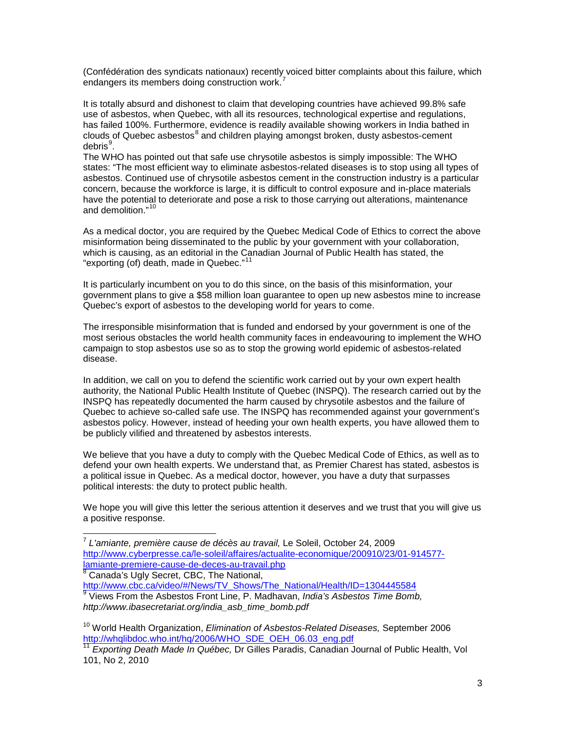(Confédération des syndicats nationaux) recently voiced bitter complaints about this failure, which endangers its members doing construction work.<sup>[7](#page-2-0)</sup>

It is totally absurd and dishonest to claim that developing countries have achieved 99.8% safe use of asbestos, when Quebec, with all its resources, technological expertise and regulations, has failed 100%. Furthermore, evidence is readily available showing workers in India bathed in clouds of Quebec asbestos<sup>[8](#page-2-1)</sup> and children playing amongst broken, dusty asbestos-cement debris<sup>[9](#page-2-2)</sup>.

The WHO has pointed out that safe use chrysotile asbestos is simply impossible: The WHO states: "The most efficient way to eliminate asbestos-related diseases is to stop using all types of asbestos. Continued use of chrysotile asbestos cement in the construction industry is a particular concern, because the workforce is large, it is difficult to control exposure and in-place materials have the potential to deteriorate and pose a risk to those carrying out alterations, maintenance and demolition."<sup>[10](#page-2-3)</sup>

As a medical doctor, you are required by the Quebec Medical Code of Ethics to correct the above misinformation being disseminated to the public by your government with your collaboration, which is causing, as an editorial in the Canadian Journal of Public Health has stated, the "exporting (of) death, made in Quebec."<sup>[11](#page-2-4)</sup>

It is particularly incumbent on you to do this since, on the basis of this misinformation, your government plans to give a \$58 million loan guarantee to open up new asbestos mine to increase Quebec's export of asbestos to the developing world for years to come.

The irresponsible misinformation that is funded and endorsed by your government is one of the most serious obstacles the world health community faces in endeavouring to implement the WHO campaign to stop asbestos use so as to stop the growing world epidemic of asbestos-related disease.

In addition, we call on you to defend the scientific work carried out by your own expert health authority, the National Public Health Institute of Quebec (INSPQ). The research carried out by the INSPQ has repeatedly documented the harm caused by chrysotile asbestos and the failure of Quebec to achieve so-called safe use. The INSPQ has recommended against your government's asbestos policy. However, instead of heeding your own health experts, you have allowed them to be publicly vilified and threatened by asbestos interests.

We believe that you have a duty to comply with the Quebec Medical Code of Ethics, as well as to defend your own health experts. We understand that, as Premier Charest has stated, asbestos is a political issue in Quebec. As a medical doctor, however, you have a duty that surpasses political interests: the duty to protect public health.

We hope you will give this letter the serious attention it deserves and we trust that you will give us a positive response.

<span id="page-2-0"></span> <sup>7</sup> *L'amiante, première cause de décès au travail,* Le Soleil, October 24, 2009 [http://www.cyberpresse.ca/le-soleil/affaires/actualite-economique/200910/23/01-914577-](http://www.cyberpresse.ca/le-soleil/affaires/actualite-economique/200910/23/01-914577-lamiante-premiere-cause-de-deces-au-travail.php)<br>lamiante-premiere-cause-de-deces-au-travail.php  $\frac{8}{6}$  Canada's Ugly Secret, CBC, The National,

<span id="page-2-2"></span><span id="page-2-1"></span>[http://www.cbc.ca/video/#/News/TV\\_Shows/The\\_National/Health/ID=1304445584](http://www.cbc.ca/video/#/News/TV_Shows/The_National/Health/ID=1304445584) <sup>9</sup> Views From the Asbestos Front Line, P. Madhavan, *India's Asbestos Time Bomb, http://www.ibasecretariat.org/india\_asb\_time\_bomb.pdf*

<span id="page-2-3"></span><sup>10</sup> World Health Organization, *Elimination of Asbestos-Related Diseases,* September 2006 [http://whqlibdoc.who.int/hq/2006/WHO\\_SDE\\_OEH\\_06.03\\_eng.pdf](http://whqlibdoc.who.int/hq/2006/WHO_SDE_OEH_06.03_eng.pdf)

<span id="page-2-4"></span><sup>11</sup> *Exporting Death Made In Québec,* Dr Gilles Paradis, Canadian Journal of Public Health, Vol 101, No 2, 2010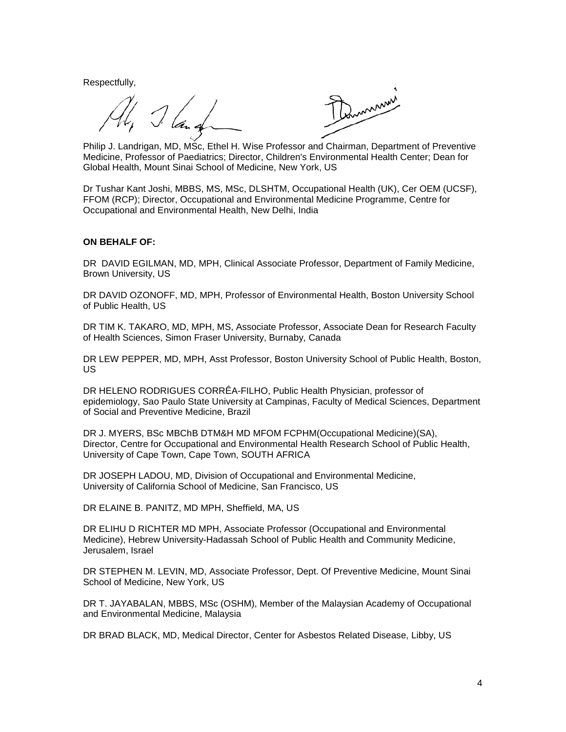Respectfully,

Command

Philip J. Landrigan, MD, MSc, Ethel H. Wise Professor and Chairman, Department of Preventive Medicine, Professor of Paediatrics; Director, Children's Environmental Health Center; Dean for Global Health, Mount Sinai School of Medicine, New York, US

Dr Tushar Kant Joshi, MBBS, MS, MSc, DLSHTM, Occupational Health (UK), Cer OEM (UCSF), FFOM (RCP); Director, Occupational and Environmental Medicine Programme, Centre for Occupational and Environmental Health, New Delhi, India

## **ON BEHALF OF:**

DR DAVID EGILMAN, MD, MPH, Clinical Associate Professor, Department of Family Medicine, Brown University, US

DR DAVID OZONOFF, MD, MPH, Professor of Environmental Health, Boston University School of Public Health, US

DR TIM K. TAKARO, MD, MPH, MS, Associate Professor, Associate Dean for Research Faculty of Health Sciences, Simon Fraser University, Burnaby, Canada

DR LEW PEPPER, MD, MPH, Asst Professor, Boston University School of Public Health, Boston, US

DR HELENO RODRIGUES CORRÊA-FILHO, Public Health Physician, professor of epidemiology, Sao Paulo State University at Campinas, Faculty of Medical Sciences, Department of Social and Preventive Medicine, Brazil

DR J. MYERS, BSc MBChB DTM&H MD MFOM FCPHM(Occupational Medicine)(SA), Director, Centre for Occupational and Environmental Health Research School of Public Health, University of Cape Town, Cape Town, SOUTH AFRICA

DR JOSEPH LADOU, MD, Division of Occupational and Environmental Medicine, University of California School of Medicine, San Francisco, US

DR ELAINE B. PANITZ, MD MPH, Sheffield, MA, US

DR ELIHU D RICHTER MD MPH, Associate Professor (Occupational and Environmental Medicine), Hebrew University-Hadassah School of Public Health and Community Medicine, Jerusalem, Israel

DR STEPHEN M. LEVIN, MD, Associate Professor, Dept. Of Preventive Medicine, Mount Sinai School of Medicine, New York, US

DR T. JAYABALAN, MBBS, MSc (OSHM), Member of the Malaysian Academy of Occupational and Environmental Medicine, Malaysia

DR BRAD BLACK, MD, Medical Director, Center for Asbestos Related Disease, Libby, US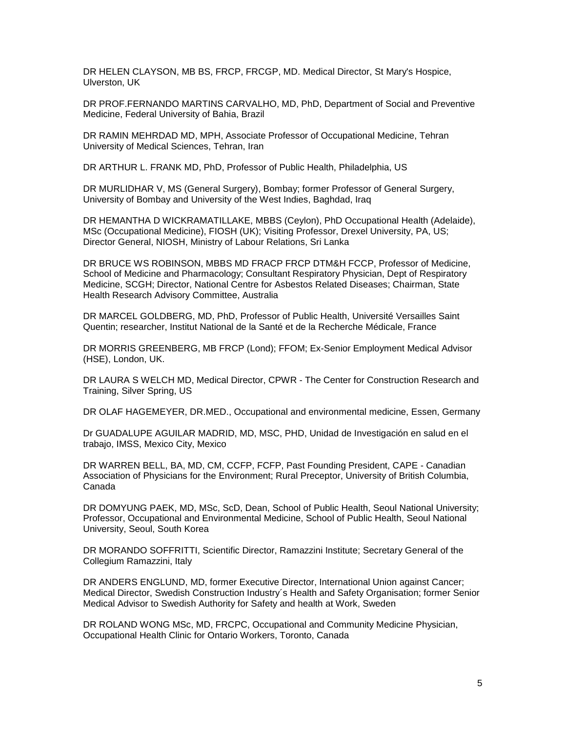DR HELEN CLAYSON, MB BS, FRCP, FRCGP, MD. Medical Director, St Mary's Hospice, Ulverston, UK

DR PROF.FERNANDO MARTINS CARVALHO, MD, PhD, Department of Social and Preventive Medicine, Federal University of Bahia, Brazil

DR RAMIN MEHRDAD MD, MPH, Associate Professor of Occupational Medicine, Tehran University of Medical Sciences, Tehran, Iran

DR ARTHUR L. FRANK MD, PhD, Professor of Public Health, Philadelphia, US

DR MURLIDHAR V, MS (General Surgery), Bombay; former Professor of General Surgery, University of Bombay and University of the West Indies, Baghdad, Iraq

DR HEMANTHA D WICKRAMATILLAKE, MBBS (Ceylon), PhD Occupational Health (Adelaide), MSc (Occupational Medicine), FIOSH (UK); Visiting Professor, Drexel University, PA, US; Director General, NIOSH, Ministry of Labour Relations, Sri Lanka

DR BRUCE WS ROBINSON, MBBS MD FRACP FRCP DTM&H FCCP, Professor of Medicine, School of Medicine and Pharmacology; Consultant Respiratory Physician, Dept of Respiratory Medicine, SCGH; Director, National Centre for Asbestos Related Diseases; Chairman, State Health Research Advisory Committee, Australia

DR MARCEL GOLDBERG, MD, PhD, Professor of Public Health, Université Versailles Saint Quentin; researcher, Institut National de la Santé et de la Recherche Médicale, France

DR MORRIS GREENBERG, MB FRCP (Lond); FFOM; Ex-Senior Employment Medical Advisor (HSE), London, UK.

DR LAURA S WELCH MD, Medical Director, CPWR - The Center for Construction Research and Training, Silver Spring, US

DR OLAF HAGEMEYER, DR.MED., Occupational and environmental medicine, Essen, Germany

Dr GUADALUPE AGUILAR MADRID, MD, MSC, PHD, Unidad de Investigación en salud en el trabajo, IMSS, Mexico City, Mexico

DR WARREN BELL, BA, MD, CM, CCFP, FCFP, Past Founding President, CAPE - Canadian Association of Physicians for the Environment; Rural Preceptor, University of British Columbia, Canada

DR DOMYUNG PAEK, MD, MSc, ScD, Dean, School of Public Health, Seoul National University; Professor, Occupational and Environmental Medicine, School of Public Health, Seoul National University, Seoul, South Korea

DR MORANDO SOFFRITTI, Scientific Director, Ramazzini Institute; Secretary General of the Collegium Ramazzini, Italy

DR ANDERS ENGLUND, MD, former Executive Director, International Union against Cancer; Medical Director, Swedish Construction Industry´s Health and Safety Organisation; former Senior Medical Advisor to Swedish Authority for Safety and health at Work, Sweden

DR ROLAND WONG MSc, MD, FRCPC, Occupational and Community Medicine Physician, Occupational Health Clinic for Ontario Workers, Toronto, Canada